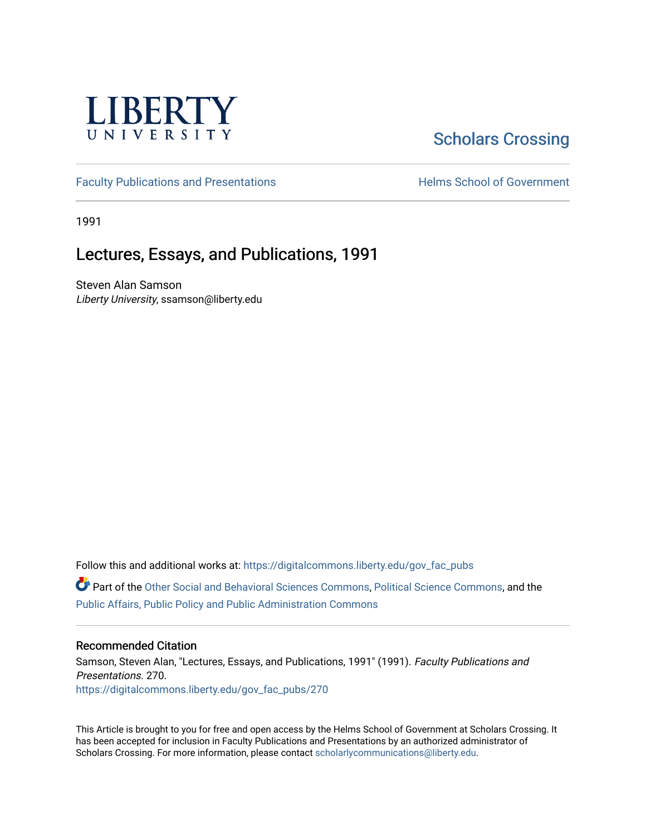

## [Scholars Crossing](https://digitalcommons.liberty.edu/)

[Faculty Publications and Presentations](https://digitalcommons.liberty.edu/gov_fac_pubs) **Exercise School of Government** 

1991

## Lectures, Essays, and Publications, 1991

Steven Alan Samson Liberty University, ssamson@liberty.edu

Follow this and additional works at: [https://digitalcommons.liberty.edu/gov\\_fac\\_pubs](https://digitalcommons.liberty.edu/gov_fac_pubs?utm_source=digitalcommons.liberty.edu%2Fgov_fac_pubs%2F270&utm_medium=PDF&utm_campaign=PDFCoverPages)

Part of the [Other Social and Behavioral Sciences Commons](http://network.bepress.com/hgg/discipline/437?utm_source=digitalcommons.liberty.edu%2Fgov_fac_pubs%2F270&utm_medium=PDF&utm_campaign=PDFCoverPages), [Political Science Commons](http://network.bepress.com/hgg/discipline/386?utm_source=digitalcommons.liberty.edu%2Fgov_fac_pubs%2F270&utm_medium=PDF&utm_campaign=PDFCoverPages), and the [Public Affairs, Public Policy and Public Administration Commons](http://network.bepress.com/hgg/discipline/393?utm_source=digitalcommons.liberty.edu%2Fgov_fac_pubs%2F270&utm_medium=PDF&utm_campaign=PDFCoverPages)

## Recommended Citation

Samson, Steven Alan, "Lectures, Essays, and Publications, 1991" (1991). Faculty Publications and Presentations. 270. [https://digitalcommons.liberty.edu/gov\\_fac\\_pubs/270](https://digitalcommons.liberty.edu/gov_fac_pubs/270?utm_source=digitalcommons.liberty.edu%2Fgov_fac_pubs%2F270&utm_medium=PDF&utm_campaign=PDFCoverPages)

This Article is brought to you for free and open access by the Helms School of Government at Scholars Crossing. It has been accepted for inclusion in Faculty Publications and Presentations by an authorized administrator of Scholars Crossing. For more information, please contact [scholarlycommunications@liberty.edu.](mailto:scholarlycommunications@liberty.edu)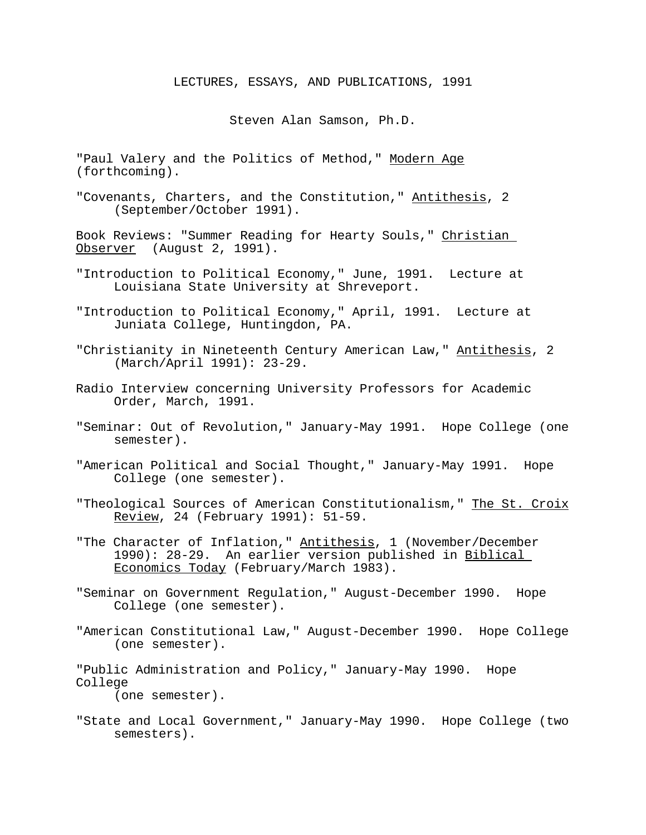## LECTURES, ESSAYS, AND PUBLICATIONS, 1991

Steven Alan Samson, Ph.D.

"Paul Valery and the Politics of Method," Modern Age (forthcoming).

"Covenants, Charters, and the Constitution," Antithesis, 2 (September/October 1991).

Book Reviews: "Summer Reading for Hearty Souls," Christian Observer (August 2, 1991).

- "Introduction to Political Economy," June, 1991. Lecture at Louisiana State University at Shreveport.
- "Introduction to Political Economy," April, 1991. Lecture at Juniata College, Huntingdon, PA.
- "Christianity in Nineteenth Century American Law," Antithesis, 2 (March/April 1991): 23-29.
- Radio Interview concerning University Professors for Academic Order, March, 1991.
- "Seminar: Out of Revolution," January-May 1991. Hope College (one semester).
- "American Political and Social Thought," January-May 1991. Hope College (one semester).
- "Theological Sources of American Constitutionalism," The St. Croix Review, 24 (February 1991): 51-59.
- "The Character of Inflation," Antithesis, 1 (November/December 1990): 28-29. An earlier version published in Biblical Economics Today (February/March 1983).
- "Seminar on Government Regulation," August-December 1990. Hope College (one semester).
- "American Constitutional Law," August-December 1990. Hope College (one semester).
- "Public Administration and Policy," January-May 1990. Hope College (one semester).
	-
- "State and Local Government," January-May 1990. Hope College (two semesters).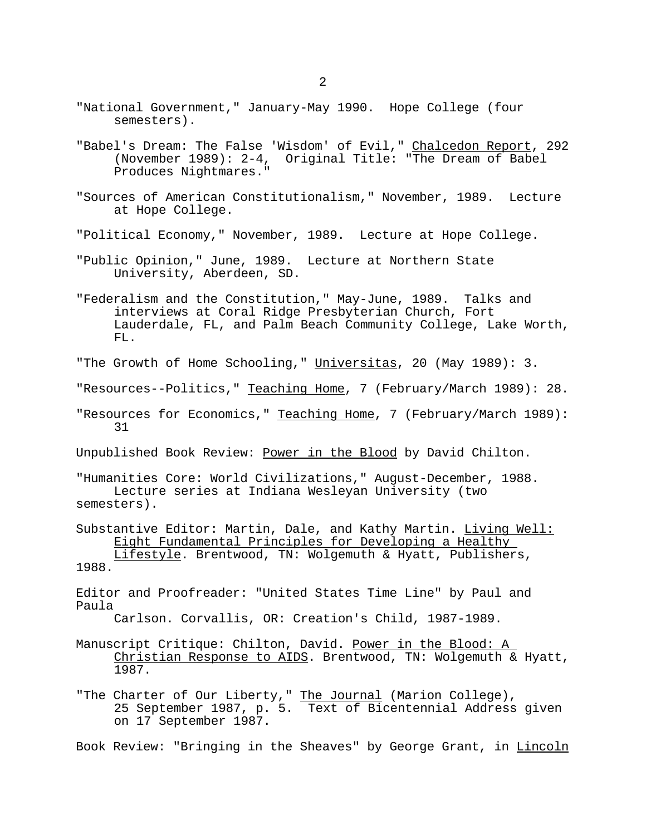- "National Government," January-May 1990. Hope College (four semesters).
- "Babel's Dream: The False 'Wisdom' of Evil," Chalcedon Report, 292 (November 1989): 2-4, Original Title: "The Dream of Babel Produces Nightmares."
- "Sources of American Constitutionalism," November, 1989. Lecture at Hope College.
- "Political Economy," November, 1989. Lecture at Hope College.
- "Public Opinion," June, 1989. Lecture at Northern State University, Aberdeen, SD.
- "Federalism and the Constitution," May-June, 1989. Talks and interviews at Coral Ridge Presbyterian Church, Fort Lauderdale, FL, and Palm Beach Community College, Lake Worth, FL.
- "The Growth of Home Schooling," Universitas, 20 (May 1989): 3.
- "Resources--Politics," Teaching Home, 7 (February/March 1989): 28.
- "Resources for Economics," Teaching Home, 7 (February/March 1989): 31

Unpublished Book Review: Power in the Blood by David Chilton.

"Humanities Core: World Civilizations," August-December, 1988. Lecture series at Indiana Wesleyan University (two semesters).

- Substantive Editor: Martin, Dale, and Kathy Martin. Living Well: Eight Fundamental Principles for Developing a Healthy Lifestyle. Brentwood, TN: Wolgemuth & Hyatt, Publishers, 1988.
- Editor and Proofreader: "United States Time Line" by Paul and Paula

- Manuscript Critique: Chilton, David. Power in the Blood: A Christian Response to AIDS. Brentwood, TN: Wolgemuth & Hyatt, 1987.
- "The Charter of Our Liberty," The Journal (Marion College), 25 September 1987, p. 5. Text of Bicentennial Address given on 17 September 1987.

Book Review: "Bringing in the Sheaves" by George Grant, in Lincoln

Carlson. Corvallis, OR: Creation's Child, 1987-1989.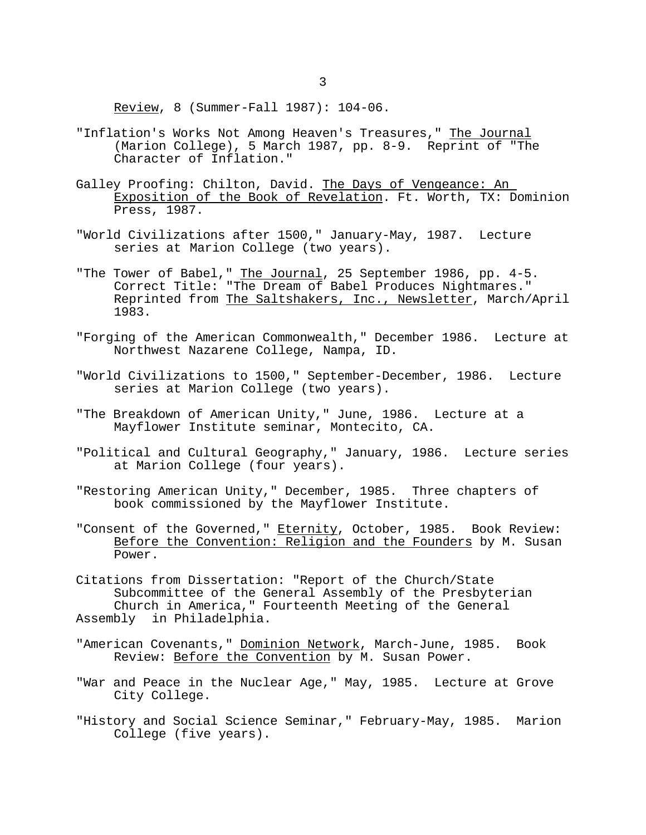Review, 8 (Summer-Fall 1987): 104-06.

- "Inflation's Works Not Among Heaven's Treasures," The Journal (Marion College), 5 March 1987, pp. 8-9. Reprint of "The Character of Inflation."
- Galley Proofing: Chilton, David. The Days of Vengeance: An Exposition of the Book of Revelation. Ft. Worth, TX: Dominion Press, 1987.
- "World Civilizations after 1500," January-May, 1987. Lecture series at Marion College (two years).
- "The Tower of Babel," The Journal, 25 September 1986, pp. 4-5. Correct Title: "The Dream of Babel Produces Nightmares." Reprinted from The Saltshakers, Inc., Newsletter, March/April 1983.
- "Forging of the American Commonwealth," December 1986. Lecture at Northwest Nazarene College, Nampa, ID.
- "World Civilizations to 1500," September-December, 1986. Lecture series at Marion College (two years).
- "The Breakdown of American Unity," June, 1986. Lecture at a Mayflower Institute seminar, Montecito, CA.
- "Political and Cultural Geography," January, 1986. Lecture series at Marion College (four years).
- "Restoring American Unity," December, 1985. Three chapters of book commissioned by the Mayflower Institute.
- "Consent of the Governed," Eternity, October, 1985. Book Review: Before the Convention: Religion and the Founders by M. Susan Power.

Citations from Dissertation: "Report of the Church/State Subcommittee of the General Assembly of the Presbyterian Church in America," Fourteenth Meeting of the General Assembly in Philadelphia.

- "American Covenants," Dominion Network, March-June, 1985. Book Review: Before the Convention by M. Susan Power.
- "War and Peace in the Nuclear Age," May, 1985. Lecture at Grove City College.
- "History and Social Science Seminar," February-May, 1985. Marion College (five years).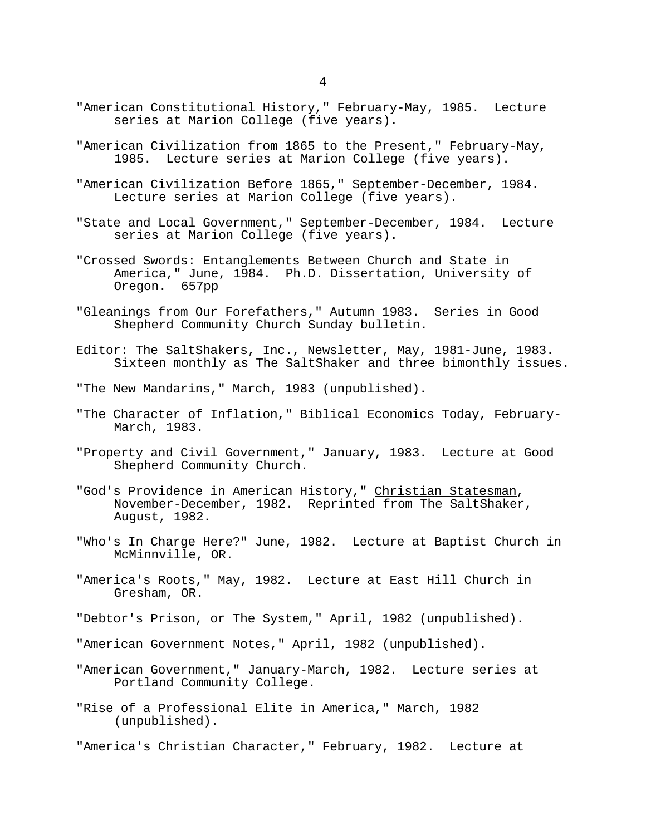- "American Constitutional History," February-May, 1985. Lecture series at Marion College (five years).
- "American Civilization from 1865 to the Present," February-May, 1985. Lecture series at Marion College (five years).
- "American Civilization Before 1865," September-December, 1984. Lecture series at Marion College (five years).
- "State and Local Government," September-December, 1984. Lecture series at Marion College (five years).
- "Crossed Swords: Entanglements Between Church and State in America," June, 1984. Ph.D. Dissertation, University of Oregon. 657pp
- "Gleanings from Our Forefathers," Autumn 1983. Series in Good Shepherd Community Church Sunday bulletin.
- Editor: The SaltShakers, Inc., Newsletter, May, 1981-June, 1983. Sixteen monthly as The SaltShaker and three bimonthly issues.
- "The New Mandarins," March, 1983 (unpublished).
- "The Character of Inflation," Biblical Economics Today, February-March, 1983.
- "Property and Civil Government," January, 1983. Lecture at Good Shepherd Community Church.
- "God's Providence in American History," Christian Statesman, November-December, 1982. Reprinted from The SaltShaker, August, 1982.
- "Who's In Charge Here?" June, 1982. Lecture at Baptist Church in McMinnville, OR.
- "America's Roots," May, 1982. Lecture at East Hill Church in Gresham, OR.
- "Debtor's Prison, or The System," April, 1982 (unpublished).
- "American Government Notes," April, 1982 (unpublished).
- "American Government," January-March, 1982. Lecture series at Portland Community College.
- "Rise of a Professional Elite in America," March, 1982 (unpublished).
- "America's Christian Character," February, 1982. Lecture at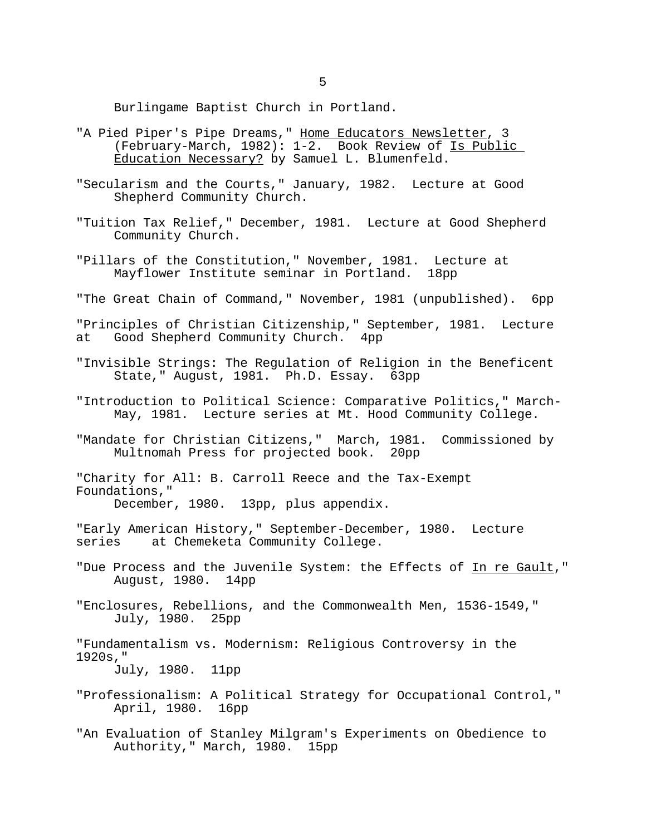Burlingame Baptist Church in Portland.

- "A Pied Piper's Pipe Dreams," Home Educators Newsletter, 3 (February-March, 1982): 1-2. Book Review of Is Public Education Necessary? by Samuel L. Blumenfeld.
- "Secularism and the Courts," January, 1982. Lecture at Good Shepherd Community Church.
- "Tuition Tax Relief," December, 1981. Lecture at Good Shepherd Community Church.
- "Pillars of the Constitution," November, 1981. Lecture at Mayflower Institute seminar in Portland. 18pp
- "The Great Chain of Command," November, 1981 (unpublished). 6pp
- "Principles of Christian Citizenship," September, 1981. Lecture Good Shepherd Community Church. 4pp
- "Invisible Strings: The Regulation of Religion in the Beneficent State," August, 1981. Ph.D. Essay. 63pp
- "Introduction to Political Science: Comparative Politics," March-May, 1981. Lecture series at Mt. Hood Community College.
- "Mandate for Christian Citizens," March, 1981. Commissioned by Multnomah Press for projected book. 20pp

"Charity for All: B. Carroll Reece and the Tax-Exempt Foundations," December, 1980. 13pp, plus appendix.

"Early American History," September-December, 1980. Lecture series at Chemeketa Community College.

- "Due Process and the Juvenile System: the Effects of In re Gault," August, 1980. 14pp
- "Enclosures, Rebellions, and the Commonwealth Men, 1536-1549," July, 1980. 25pp

"Fundamentalism vs. Modernism: Religious Controversy in the 1920s," July, 1980. 11pp

- "Professionalism: A Political Strategy for Occupational Control," April, 1980. 16pp
- "An Evaluation of Stanley Milgram's Experiments on Obedience to Authority," March, 1980. 15pp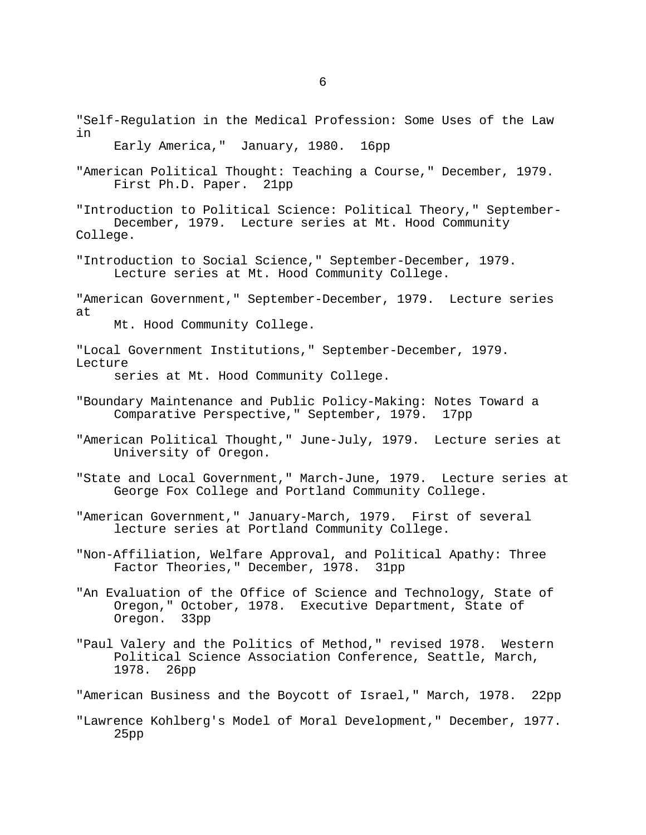"Self-Regulation in the Medical Profession: Some Uses of the Law in Early America," January, 1980. 16pp "American Political Thought: Teaching a Course," December, 1979. First Ph.D. Paper. 21pp "Introduction to Political Science: Political Theory," September-December, 1979. Lecture series at Mt. Hood Community College. "Introduction to Social Science," September-December, 1979. Lecture series at Mt. Hood Community College. "American Government," September-December, 1979. Lecture series at Mt. Hood Community College. "Local Government Institutions," September-December, 1979. Lecture series at Mt. Hood Community College. "Boundary Maintenance and Public Policy-Making: Notes Toward a Comparative Perspective," September, 1979. 17pp "American Political Thought," June-July, 1979. Lecture series at University of Oregon. "State and Local Government," March-June, 1979. Lecture series at George Fox College and Portland Community College. "American Government," January-March, 1979. First of several lecture series at Portland Community College. "Non-Affiliation, Welfare Approval, and Political Apathy: Three Factor Theories," December, 1978. "An Evaluation of the Office of Science and Technology, State of Oregon," October, 1978. Executive Department, State of Oregon. 33pp "Paul Valery and the Politics of Method," revised 1978. Western Political Science Association Conference, Seattle, March, 1978. 26pp "American Business and the Boycott of Israel," March, 1978. 22pp "Lawrence Kohlberg's Model of Moral Development," December, 1977. 25pp

6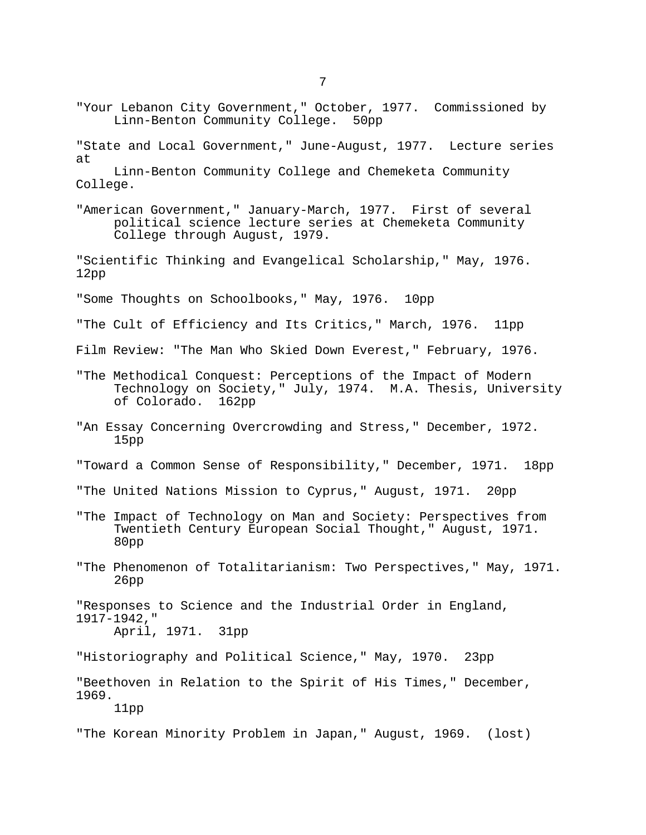"Your Lebanon City Government," October, 1977. Commissioned by

"State and Local Government," June-August, 1977. Lecture series

Linn-Benton Community College. 50pp

at

Linn-Benton Community College and Chemeketa Community College. "American Government," January-March, 1977. First of several political science lecture series at Chemeketa Community College through August, 1979. "Scientific Thinking and Evangelical Scholarship," May, 1976. 12pp "Some Thoughts on Schoolbooks," May, 1976. 10pp "The Cult of Efficiency and Its Critics," March, 1976. 11pp Film Review: "The Man Who Skied Down Everest," February, 1976. "The Methodical Conquest: Perceptions of the Impact of Modern Technology on Society," July, 1974. M.A. Thesis, University of Colorado. 162pp "An Essay Concerning Overcrowding and Stress," December, 1972. 15pp "Toward a Common Sense of Responsibility," December, 1971. 18pp "The United Nations Mission to Cyprus," August, 1971. 20pp "The Impact of Technology on Man and Society: Perspectives from Twentieth Century European Social Thought," August, 1971. 80pp "The Phenomenon of Totalitarianism: Two Perspectives," May, 1971. 26pp "Responses to Science and the Industrial Order in England, 1917-1942," April, 1971. 31pp "Historiography and Political Science," May, 1970. 23pp "Beethoven in Relation to the Spirit of His Times," December, 1969. 11pp "The Korean Minority Problem in Japan," August, 1969. (lost)